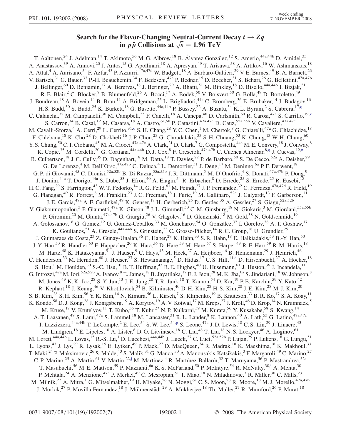## Search for the Flavor-Changing Neutral-Current Decay  $t \rightarrow Zq$ in  $p\bar{p}$  Collisions at  $\sqrt{s} = 1.96 \text{ TeV}$

T. Aaltonen,<sup>24</sup> J. Adelman,<sup>14</sup> T. Akimoto,<sup>56</sup> M. G. Albrow,<sup>18</sup> B. Álvarez González,<sup>12</sup> S. Amerio,<sup>44a,44b</sup> D. Amidei,<sup>35</sup> A. Anastassov,<sup>39</sup> A. Annovi,<sup>20</sup> J. Antos,<sup>15</sup> G. Apollinari,<sup>18</sup> A. Apresyan,<sup>49</sup> T. Arisawa,<sup>58</sup> A. Artikov,<sup>16</sup> W. Ashmanskas,<sup>18</sup> A. Attal,<sup>4</sup> A. Aurisano,<sup>54</sup> F. Azfar,<sup>43</sup> P. Azzurri,<sup>47a,47d</sup> W. Badgett,<sup>18</sup> A. Barbaro-Galtieri,<sup>29</sup> V. E. Barnes,<sup>49</sup> B. A. Barnett,<sup>26</sup> V. Bartsch,<sup>31</sup> G. Bauer,<sup>33</sup> P.-H. Beauchemin,<sup>34</sup> F. Bedeschi,<sup>47a</sup> P. Bednar,<sup>15</sup> D. Beecher,<sup>31</sup> S. Behari,<sup>26</sup> G. Bellettini,<sup>47a,47b</sup> J. Bellinger,<sup>60</sup> D. Benjamin,<sup>17</sup> A. Beretvas,<sup>18</sup> J. Beringer,<sup>29</sup> A. Bhatti,<sup>51</sup> M. Binkley,<sup>18</sup> D. Bisello,<sup>44a,44b</sup> I. Bizjak,<sup>31</sup> R. E. Blair,<sup>2</sup> C. Blocker,<sup>7</sup> B. Blumenfeld,<sup>26</sup> A. Bocci,<sup>17</sup> A. Bodek,<sup>50</sup> V. Boisvert,<sup>50</sup> G. Bolla,<sup>49</sup> D. Bortoletto,<sup>49</sup> J. Boudreau,<sup>48</sup> A. Boveia,<sup>11</sup> B. Brau,<sup>11</sup> A. Bridgeman,<sup>25</sup> L. Brigliadori,<sup>44a</sup> C. Bromberg,<sup>36</sup> E. Brubaker,<sup>14</sup> J. Budagov,<sup>16</sup> H. S. Budd,<sup>50</sup> S. Budd,<sup>25</sup> K. Burkett,<sup>18</sup> G. Busetto,<sup>44a,44b</sup> P. Bussey,<sup>22</sup> A. Buzatu,<sup>34</sup> K. L. Byrum,<sup>2</sup> S. Cabrera,<sup>17[,q](#page-6-0)</sup> C. Calancha,<sup>32</sup> M. Campanelli,<sup>36</sup> M. Campbell,<sup>35</sup> F. Canelli,<sup>18</sup> A. Canepa,<sup>46</sup> D. Carlsmith,<sup>60</sup> R. Carosi,<sup>47a</sup> S. Carrillo,<sup>19[,k](#page-6-0)</sup> S. Carron,<sup>34</sup> B. Casal,<sup>12</sup> M. Casarsa,<sup>18</sup> A. Castro,<sup>6a,6b</sup> P. Catastini,<sup>47a,47c</sup> D. Cauz,<sup>55a,55b</sup> V. Cavaliere,<sup>47a,47c</sup> M. Cavalli-Sforza,<sup>4</sup> A. Cerri,<sup>29</sup> L. Cerrito,<sup>31[,o](#page-6-0)</sup> S. H. Chang,<sup>28</sup> Y. C. Chen,<sup>1</sup> M. Chertok,<sup>8</sup> G. Chiarelli,<sup>47a</sup> G. Chlachidze,<sup>18</sup> F. Chlebana,<sup>18</sup> K. Cho,<sup>28</sup> D. Chokheli,<sup>16</sup> J. P. Chou,<sup>23</sup> G. Choudalakis,<sup>33</sup> S. H. Chuang,<sup>53</sup> K. Chung,<sup>13</sup> W. H. Chung,<sup>60</sup> Y. S. Chung, <sup>50</sup> C. I. Ciobanu, <sup>45</sup> M. A. Ciocci, <sup>47a, 47c</sup> A. Clark, <sup>21</sup> D. Clark, <sup>7</sup> G. Compostella, <sup>44a</sup> M. E. Convery, <sup>18</sup> J. Conway, <sup>8</sup> K. Copic,<sup>35</sup> M. Cordelli,<sup>20</sup> G. Cortiana,<sup>44a,44b</sup> D. J. Cox,<sup>8</sup> F. Crescioli,<sup>47a,47b</sup> C. Cuenca Almenar,<sup>8[,q](#page-6-0)</sup> J. Cuevas,<sup>12,[n](#page-6-0)</sup> R. Culbertson,<sup>18</sup> J. C. Cully,<sup>35</sup> D. Dagenhart,<sup>18</sup> M. Datta,<sup>18</sup> T. Davies,<sup>22</sup> P. de Barbaro,<sup>50</sup> S. De Cecco,<sup>52a</sup> A. Deisher,<sup>29</sup> G. De Lorenzo,<sup>4</sup> M. Dell'Orso,<sup>47a,47b</sup> C. Deluca,<sup>4</sup> L. Demortier,<sup>51</sup> J. Deng,<sup>17</sup> M. Deninno,<sup>6a</sup> P. F. Derwent,<sup>18</sup> G. P. di Giovanni,<sup>45</sup> C. Dionisi,<sup>52a,52b</sup> B. Di Ruzza,<sup>55a,55b</sup> J. R. Dittmann,<sup>5</sup> M. D'Onofrio,<sup>4</sup> S. Donati,<sup>47a,47b</sup> P. Dong,<sup>9</sup> J. Donini,<sup>44a</sup> T. Dorigo,<sup>44a</sup> S. Dube,<sup>53</sup> J. Efron,<sup>40</sup> A. Elagin,<sup>54</sup> R. Erbacher,<sup>8</sup> D. Errede,<sup>25</sup> S. Errede,<sup>25</sup> R. Eusebi,<sup>18</sup> H. C. Fang,<sup>29</sup> S. Farrington,<sup>43</sup> W. T. Fedorko,<sup>14</sup> R. G. Feild,<sup>61</sup> M. Feindt,<sup>27</sup> J. P. Fernandez,<sup>32</sup> C. Ferrazza,<sup>47a,47d</sup> R. Field,<sup>19</sup> G. Flanagan,<sup>49</sup> R. Forrest,<sup>8</sup> M. Franklin,<sup>23</sup> J. C. Freeman,<sup>18</sup> I. Furic,<sup>19</sup> M. Gallinaro,<sup>52a</sup> J. Galyardt,<sup>13</sup> F. Garberson,<sup>11</sup> J. E. Garcia,<sup>47a</sup> A. F. Garfinkel,<sup>49</sup> K. Genser,<sup>18</sup> H. Gerberich,<sup>25</sup> D. Gerdes,<sup>35</sup> A. Gessler,<sup>27</sup> S. Giagu,<sup>52a,52b</sup> V. Giakoumopoulou,<sup>3</sup> P. Giannetti,<sup>47a</sup> K. Gibson,<sup>48</sup> J.L. Gimmell,<sup>50</sup> C.M. Ginsburg,<sup>18</sup> N. Giokaris,<sup>3</sup> M. Giordani,<sup>55a,55b</sup> P. Giromini,<sup>20</sup> M. Giunta,<sup>47a,47b</sup> G. Giurgiu,<sup>26</sup> V. Glagolev,<sup>16</sup> D. Glenzinski,<sup>18</sup> M. Gold,<sup>38</sup> N. Goldschmidt,<sup>19</sup> A. Golossanov,<sup>18</sup> G. Gomez,<sup>12</sup> G. Gomez-Ceballos,<sup>33</sup> M. Goncharov,<sup>54</sup> O. González,<sup>32</sup> I. Gorelov,<sup>38</sup> A. T. Goshaw,<sup>17</sup> K. Goulianos,<sup>51</sup> A. Gresele,<sup>44a,44b</sup> S. Grinstein,<sup>23</sup> C. Grosso-Pilcher,<sup>14</sup> R. C. Group,<sup>18</sup> U. Grundler,<sup>25</sup> J. Guimaraes da Costa,<sup>23</sup> Z. Gunay-Unalan,<sup>36</sup> C. Haber,<sup>29</sup> K. Hahn,<sup>33</sup> S. R. Hahn,<sup>18</sup> E. Halkiadakis,<sup>53</sup> B.-Y. Han,<sup>50</sup> J. Y. Han,<sup>50</sup> R. Handler,<sup>60</sup> F. Happacher,<sup>20</sup> K. Hara,<sup>56</sup> D. Hare,<sup>53</sup> M. Hare,<sup>57</sup> S. Harper,<sup>43</sup> R. F. Harr,<sup>59</sup> R. M. Harris,<sup>18</sup> M. Hartz,<sup>48</sup> K. Hatakeyama,<sup>51</sup> J. Hauser,<sup>9</sup> C. Hays,<sup>43</sup> M. Heck,<sup>27</sup> A. Heijboer,<sup>46</sup> B. Heinemann,<sup>29</sup> J. Heinrich,<sup>46</sup> C. Henderson,<sup>33</sup> M. Herndon,<sup>60</sup> J. Heuser,<sup>27</sup> S. Hewamanage,<sup>5</sup> D. Hidas,<sup>17</sup> C. S. Hill,<sup>11[,d](#page-6-0)</sup> D. Hirschbuehl,<sup>27</sup> A. Hocker,<sup>18</sup> S. Hou,<sup>1</sup> M. Houlden,<sup>30</sup> S.-C. Hsu,<sup>10</sup> B. T. Huffman,<sup>43</sup> R. E. Hughes,<sup>40</sup> U. Husemann,<sup>61</sup> J. Huston,<sup>36</sup> J. Incandela,<sup>11</sup> G. Introzzi,<sup>47a</sup> M. Iori,<sup>52a,52b</sup> A. Ivanov, <sup>8</sup> E. James, <sup>18</sup> B. Jayatilaka, <sup>17</sup> E. J. Jeon, <sup>28</sup> M. K. Jha, <sup>6a</sup> S. Jindariani, <sup>18</sup> W. Johnson, <sup>8</sup> M. Jones,<sup>49</sup> K. K. Joo,<sup>28</sup> S. Y. Jun,<sup>13</sup> J. E. Jung,<sup>28</sup> T. R. Junk,<sup>18</sup> T. Kamon,<sup>54</sup> D. Kar,<sup>19</sup> P. E. Karchin,<sup>59</sup> Y. Kato,<sup>42</sup> R. Kephart,<sup>18</sup> J. Keung,<sup>46</sup> V. Khotilovich,<sup>54</sup> B. Kilminster,<sup>40</sup> D. H. Kim,<sup>28</sup> H. S. Kim,<sup>28</sup> J. E. Kim,<sup>28</sup> M. J. Kim,<sup>20</sup> S. B. Kim,  $^{28}$  S. H. Kim,  $^{56}$  Y. K. Kim,  $^{14}$  N. Kimura,  $^{56}$  L. Kirsch,  $^7$  S. Klimenko,  $^{19}$  B. Knuteson,  $^{33}$  B. R. Ko,  $^{17}$  S. A. Koay,  $^{11}$ K. Kondo,<sup>58</sup> D. J. Kong,<sup>28</sup> J. Konigsberg,<sup>19</sup> A. Korytov,<sup>19</sup> A. V. Kotwal,<sup>17</sup> M. Kreps,<sup>27</sup> J. Kroll,<sup>46</sup> D. Krop,<sup>14</sup> N. Krumnack,<sup>5</sup> M. Kruse,<sup>17</sup> V. Krutelyov,<sup>11</sup> T. Kubo,<sup>56</sup> T. Kuhr,<sup>27</sup> N. P. Kulkarni,<sup>59</sup> M. Kurata,<sup>56</sup> Y. Kusakabe,<sup>58</sup> S. Kwang,<sup>14</sup> A. T. Laasanen,<sup>49</sup> S. Lami,<sup>47a</sup> S. Lammel,<sup>18</sup> M. Lancaster,<sup>31</sup> R. L. Lander,<sup>8</sup> K. Lannon,<sup>40</sup> A. Lath,<sup>53</sup> G. Latino,<sup>47a,47c</sup> I. Lazzizzera,  $44a,44b$  T. LeCom[p](#page-6-0)te,  $^2$  E. Lee,  $^{54}$  S. W. Lee,  $^{54,p}$  S. Leone,  $47a$  J. D. Lewis,  $^{18}$  C. S. Lin,  $^{29}$  J. Linacre,  $^{43}$ M. Lindgren,<sup>18</sup> E. Lipeles,<sup>10</sup> A. Lister,<sup>8</sup> D. O. Litvintsev,<sup>18</sup> C. Liu,<sup>48</sup> T. Liu,<sup>18</sup> N. S. Lockyer,<sup>46</sup> A. Loginov,<sup>61</sup> M. Loreti,<sup>44a,44b</sup> L. Lovas,<sup>15</sup> R.-S. Lu,<sup>1</sup> D. Lucchesi,<sup>44a,44b</sup> J. Lueck,<sup>27</sup> C. Luci,<sup>52a,52b</sup> P. Lujan,<sup>29</sup> P. Lukens,<sup>18</sup> G. Lungu,<sup>51</sup> L. Lyons,<sup>43</sup> J. Lys,<sup>29</sup> R. Lysak,<sup>15</sup> E. Lytken,<sup>49</sup> P. Mack,<sup>27</sup> D. MacQueen,<sup>34</sup> R. Madrak,<sup>18</sup> K. Maeshima,<sup>18</sup> K. Makhoul,<sup>33</sup> T. Maki,<sup>24</sup> P. Maksimovic,<sup>26</sup> S. Malde,<sup>43</sup> S. Malik,<sup>31</sup> G. Manca,<sup>30</sup> A. Manousakis-Katsikakis,<sup>3</sup> F. Margaroli,<sup>49</sup> C. Marino,<sup>27</sup> C. P. Marino,<sup>25</sup> A. Martin,<sup>61</sup> V. Martin,<sup>22[,j](#page-6-0)</sup> M. Martínez,<sup>4</sup> R. Martínez-Ballarín,<sup>32</sup> T. Maruyama,<sup>56</sup> P. Mastrandrea,<sup>52a</sup> T. Masubuch[i](#page-6-0), <sup>56</sup> M. E. Mattson, <sup>59</sup> P. Mazzanti, <sup>6a</sup> K. S. McFarland, <sup>50</sup> P. McIntyre, <sup>54</sup> R. McNulty, <sup>30,i</sup> A. Mehta, <sup>30</sup> P. Mehtala,<sup>24</sup> A. Menzione,<sup>47a</sup> P. Merkel,<sup>49</sup> C. Mesropian,<sup>51</sup> T. Miao,<sup>18</sup> N. Miladinovic,<sup>7</sup> R. Miller,<sup>36</sup> C. Mills,<sup>23</sup> M. Milnik,<sup>27</sup> A. Mitra,<sup>1</sup> G. Mitselmakher,<sup>19</sup> H. Miyake,<sup>56</sup> N. Moggi,<sup>6a</sup> C. S. Moon,<sup>28</sup> R. Moore,<sup>18</sup> M. J. Morello,<sup>47a,47b</sup> J. Morlok,<sup>27</sup> P. Movilla Fernandez,<sup>18</sup> J. Mülmenstädt,<sup>29</sup> A. Mukherjee,<sup>18</sup> Th. Muller,<sup>27</sup> R. Mumford,<sup>26</sup> P. Murat,<sup>18</sup>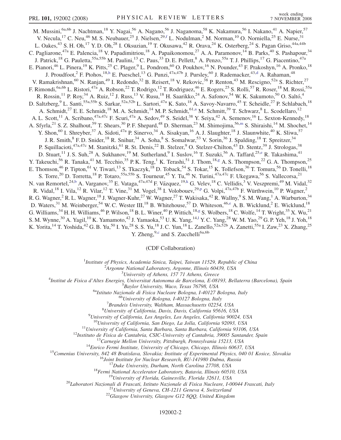M. Mussini,<sup>6a,6b</sup> J. Nachtman,<sup>18</sup> Y. Nagai,<sup>56</sup> A. Nagano,<sup>56</sup> J. Naganoma,<sup>58</sup> K. Nakamura,<sup>56</sup> I. Nakano,<sup>41</sup> A. Napier,<sup>57</sup> V. Necula,<sup>17</sup> C. Neu,<sup>46</sup> M. S. Neubauer,<sup>25</sup> J. Nielsen,<sup>29,[f](#page-6-0)</sup> L. Nodulman,<sup>2</sup> M. Norman,<sup>10</sup> O. Norniella,<sup>25</sup> E. Nurse,<sup>31</sup> L. Oakes,<sup>43</sup> S. H. Oh,<sup>17</sup> Y. D. Oh,<sup>28</sup> I. Oksuzian,<sup>19</sup> T. Okusawa,<sup>42</sup> R. Orava,<sup>24</sup> K. Osterberg,<sup>24</sup> S. Pagan Griso,<sup>44a,44b</sup> C. Pagliarone,<sup>47a</sup> E. Palencia,<sup>18</sup> V. Papadimitriou,<sup>18</sup> A. Papaikonomou,<sup>27</sup> A. A. Paramonov,<sup>14</sup> B. Parks,<sup>40</sup> S. Pashapour,<sup>34</sup> J. Patrick,<sup>18</sup> G. Pauletta,<sup>55a,55b</sup> M. Paulini,<sup>13</sup> C. Paus,<sup>33</sup> D. E. Pellett,<sup>8</sup> A. Penzo,<sup>55a</sup> T. J. Phillips,<sup>17</sup> G. Piacentino,<sup>47a</sup> E. Pianori,<sup>46</sup> L. Pinera,<sup>19</sup> K. Pitts,<sup>25</sup> C. Plager,<sup>9</sup> L. Pondrom,<sup>60</sup> O. Poukhov,<sup>16</sup> N. Pounder,<sup>43</sup> F. Prakoshyn,<sup>16</sup> A. Pronko,<sup>18</sup> J. Proudfoot,<sup>2</sup> F. Ptohos,<sup>18[,h](#page-6-0)</sup> E. Pueschel,<sup>13</sup> G. Punzi,<sup>47a,47b</sup> J. Pursley,<sup>60</sup> J. Ra[d](#page-6-0)emacker,<sup>43,d</sup> A. Rahaman,<sup>48</sup> V. Ramakrishnan,<sup>60</sup> N. Ranjan,<sup>49</sup> I. Redondo,<sup>32</sup> B. Reisert,<sup>18</sup> V. Rekovic,<sup>38</sup> P. Renton,<sup>43</sup> M. Rescigno,<sup>52a</sup> S. Richter,<sup>27</sup> F. Rimondi, <sup>6a,6b</sup> L. Ristori, <sup>47a</sup> A. Robson, <sup>22</sup> T. Rodrigo, <sup>12</sup> T. Rodriguez, <sup>46</sup> E. Rogers, <sup>25</sup> S. Rolli, <sup>57</sup> R. Roser, <sup>18</sup> M. Rossi, <sup>55a</sup> R. Rossin,<sup>11</sup> P. Roy,<sup>34</sup> A. Ruiz,<sup>12</sup> J. Russ,<sup>13</sup> V. Rusu,<sup>18</sup> H. Saarikko,<sup>24</sup> A. Safonov,<sup>54</sup> W. K. Sakumoto,<sup>50</sup> O. Saltó,<sup>4</sup> D. Saltzberg,<sup>9</sup> L. Santi,<sup>55a,55b</sup> S. Sarkar,<sup>52a,52b</sup> L. Sartori,<sup>47a</sup> K. Sato,<sup>18</sup> A. Savoy-Navarro,<sup>45</sup> T. Scheidle,<sup>27</sup> P. Schlabach,<sup>18</sup> A. Schmidt,<sup>27</sup> E. E. Schmidt,<sup>18</sup> M. A. Schmidt,<sup>14</sup> M. P. Schmidt,<sup>61,[a](#page-6-0)</sup> M. Schmitt,<sup>39</sup> T. Schwarz,<sup>8</sup> L. Scodellaro,<sup>12</sup> A. L. Scott,<sup>11</sup> A. Scribano,<sup>47a,47c</sup> F. Scuri,<sup>47a</sup> A. Sedov,<sup>49</sup> S. Seidel,<sup>38</sup> Y. Seiya,<sup>42</sup> A. Semenov,<sup>16</sup> L. Sexton-Kennedy,<sup>18</sup> A. Sfyrla,<sup>21</sup> S. Z. Shalhout,<sup>59</sup> T. Shears,<sup>30</sup> P. F. Shepard,<sup>48</sup> D. Sher[m](#page-6-0)an,<sup>23</sup> M. Shimojima,<sup>56,m</sup> S. Shiraishi,<sup>14</sup> M. Shochet,<sup>14</sup> Y. Shon,<sup>60</sup> I. Shreyber,<sup>37</sup> A. Sidoti,<sup>47a</sup> P. Sinervo,<sup>34</sup> A. Sisakyan,<sup>16</sup> A. J. Slaughter,<sup>18</sup> J. Slaunwhite,<sup>40</sup> K. Sliwa,<sup>57</sup> J. R. Smith,<sup>8</sup> F. D. Snider,<sup>18</sup> R. Snihur,<sup>34</sup> A. Soha,<sup>8</sup> S. Somalwar,<sup>53</sup> V. Sorin,<sup>36</sup> J. Spalding,<sup>18</sup> T. Spreitzer,<sup>34</sup> P. Squillacioti,<sup>47a,47c</sup> M. Stanitzki,<sup>61</sup> R. St. Denis,<sup>22</sup> B. Stelzer,<sup>9</sup> O. Stelzer-Chilton,<sup>43</sup> D. Stentz,<sup>39</sup> J. Strologas,<sup>38</sup> D. Stuart, <sup>11</sup> J. S. Suh, <sup>28</sup> A. Sukhanov, <sup>19</sup> M. Suth[e](#page-6-0)rland, <sup>9</sup> I. Suslov, <sup>16</sup> T. Suzuki, <sup>56</sup> A. Taffard, <sup>25, e</sup> R. Takashima, <sup>41</sup> Y. Takeuchi,<sup>56</sup> R. Tanaka,<sup>41</sup> M. Tecchio,<sup>35</sup> P. K. Teng,<sup>1</sup> K. Terashi,<sup>51</sup> J. Thom,<sup>18[,g](#page-6-0)</sup> A. S. Thompson,<sup>22</sup> G. A. Thompson,<sup>25</sup> E. Thomson,<sup>46</sup> P. Tipton,<sup>61</sup> V. Tiwari,<sup>13</sup> S. Tkaczyk,<sup>18</sup> D. Toback,<sup>54</sup> S. Tokar,<sup>15</sup> K. Tollefson,<sup>36</sup> T. Tomura,<sup>56</sup> D. Tonelli,<sup>18</sup> S. Torre,<sup>20</sup> D. Torretta,<sup>18</sup> P. Totaro,<sup>55a,55b</sup> S. Tourneur,<sup>45</sup> Y. Tu,<sup>46</sup> N. Turini,<sup>47a,47c</sup> F. Ukegawa,<sup>56</sup> S. Vallecorsa,<sup>21</sup> N. van Remortel,<sup>24,[b](#page-6-0)</sup> A. Varganov,<sup>35</sup> E. Vataga,<sup>47a,47d</sup> F. Vázquez,<sup>19[,k](#page-6-0)</sup> G. Velev,<sup>18</sup> C. Vellidis,<sup>3</sup> V. Veszpremi,<sup>49</sup> M. Vidal,<sup>32</sup> R. Vidal,<su[p](#page-6-0)>18</sup> I. Vila,<sup>12</sup> R. Vilar,<sup>12</sup> T. Vine,<sup>31</sup> M. Vogel,<sup>38</sup> I. Volobouev,<sup>29,p</sup> G. Volpi,<sup>47a,47b</sup> F. Würthwein,<sup>10</sup> P. Wagner,<sup>2</sup> R. G. Wagner,<sup>2</sup> R. L. Wagner,<sup>18</sup> J. Wagner-Kuhr,<sup>27</sup> W. Wagner,<sup>27</sup> T. Wakisaka,<sup>42</sup> R. Wallny,<sup>9</sup> S. M. Wang,<sup>1</sup> A. Warburton,<sup>34</sup> D. Waters,<sup>31</sup> M. Weinberger,<sup>54</sup> W. C. Wester III,<sup>18</sup> B. Whitehouse,<sup>57</sup> D. Whiteson,<sup>46[,e](#page-6-0)</sup> A. B. Wicklund,<sup>2</sup> E. Wicklund,<sup>18</sup> G. Williams, <sup>34</sup> H. H. Williams, <sup>46</sup> P. Wilson, <sup>18</sup> B. L. Winer, <sup>40</sup> P. Wittich, <sup>18,[g](#page-6-0)</sup> S. Wolbers, <sup>18</sup> C. Wolfe, <sup>14</sup> T. Wright, <sup>35</sup> X. Wu, <sup>21</sup> S. M. Wynne,<sup>30</sup> A. Yagi[l](#page-6-0),<sup>10</sup> K. Yamamoto,<sup>42</sup> J. Yamaoka,<sup>53</sup> U.K. Yang,<sup>14,1</sup> Y.C. Yang,<sup>28</sup> W.M. Yao,<sup>29</sup> G.P. Yeh,<sup>18</sup> J. Yoh,<sup>18</sup> K. Yorita, <sup>14</sup> T. Yoshida, <sup>42</sup> G. B. Yu, <sup>50</sup> I. Yu, <sup>28</sup> S. S. Yu, <sup>18</sup> J. C. Yun, <sup>18</sup> L. Zanello, <sup>52a, 52b</sup> A. Zanetti, <sup>55a</sup> I. Zaw, <sup>23</sup> X. Zhang, <sup>25</sup>

Y. Zheng, $9,^\circ$  $9,^\circ$  $9,^\circ$  and S. Zucchelli<sup>6a,6b</sup>

(CDF Collaboration)

<sup>1</sup>Institute of Physics, Academia Sinica, Taipei, Taiwan 11529, Republic of China<br><sup>2</sup>Argonna National Laboratory, Argonna Illinois 60430, USA

 $A$ rgonne National Laboratory, Argonne, Illinois 60439, USA<br> $3$ University of Athens, 157 71 Athens, Greece

<sup>5</sup> University of Athens, 157 71 Athens, Greece  $\frac{3}{4}$  University of Athens, 157 71 Athens, Greece

Institut de Fisica d'Altes Energies, Universitat Autonoma de Barcelona, E-08193, Bellaterra (Barcelona), Spain <sup>5</sup>

 $^{5}$ Baylor University, Waco, Texas 76798, USA<br><sup>6a</sup>Istituto Nazionale di Fisica Nucleare Bologna, I-40127 Bologna, Italy <sup>6b</sup>University of Bologna, I-40127 Bologna, Italy

 ${}^{7}$ Brandeis University, Waltham, Massachusetts 02254, USA

 ${}^{8}$ University of California, Davis, Davis, California 95616, USA

 $^{9}$ University of California, Los Angeles, Los Angeles, California 90024, USA

 $^{10}$ University of California, San Diego, La Jolla, California 92093, USA<br>  $^{11}$ University of California, Santa Barbara, Santa Barbara, California 93106, USA<br>  $^{12}$ Instituto de Fisica de Cantabria, CSIC-University of C

## 192002-2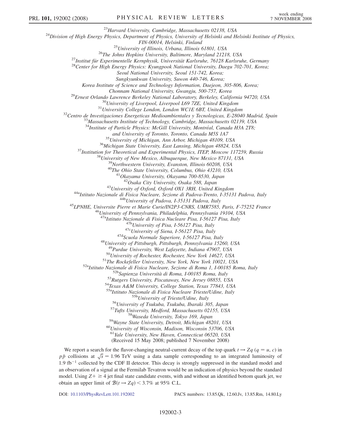<sup>23</sup>Harvard University, Cambridge, Massachusetts 02138, USA<br><sup>24</sup>Division of High Energy Physics, Department of Physics, University of Helsinki and Helsinki Institute of Physics,

FIN-00014, Helsinki, Finland<br><sup>25</sup>University of Illinois, Urbana, Illinois 61801, USA<br><sup>26</sup>The Johns Hopkins University, Baltimore, Maryland 21218, USA<br><sup>27</sup>Institut für Experimentelle Kernphysik, Universität Karlsruhe, 76128

Seoul National University, Seoul 151-742, Korea;

Sungkyunkwan University, Suwon 440-746, Korea;

Korea Institute of Science and Technology Information, Daejeon, 305-806, Korea;

<sup>29</sup>Ernest Orlando Lawrence Berkeley National Laboratory, Berkeley, California 94720, USA<br><sup>30</sup>University of Liverpool, Liverpool L69 7ZE, United Kingdom<br><sup>31</sup>University College London, London WCIE 6BT, United Kingdom<br><sup>32</sup>C

 $34$ Institute of Particle Physics: McGill University, Montréal, Canada H3A 2T8;

and University of Toronto, Toronto, Canada M5S 1A7<br><sup>35</sup>University of Michigan, Ann Arbor, Michigan 48109, USA<br><sup>36</sup>Michigan State University, East Lansing, Michigan 48824, USA<br><sup>37</sup>Institution for Theoretical and Experimenta

<sup>43</sup>University of Oxford, Oxford OX1 3RH, United Kingdom<br><sup>44a</sup>Istituto Nazionale di Fisica Nucleare, Sezione di Padova-Trento, I-35131 Padova, Italy<br><sup>44b</sup>University of Padova, I-35131 Padova, Italy<br><sup>45</sup>LPNHE, Universite P

<sup>47a</sup>Istituto Nazionale di Fisica Nucleare Pisa, I-56127 Pisa, Italy<br><sup>47b</sup>University of Pisa, I-56127 Pisa, Italy<br><sup>47c</sup>University of Siena, I-56127 Pisa, Italy<br><sup>47d</sup>Scuola Normale Superiore, I-56127 Pisa, Italy<br><sup>48</sup>Univer

<sup>50</sup>University of Rochester, Rochester, New York 14627, USA<br><sup>51</sup>The Rockefeller University, New York, New York 10021, USA<br><sup>52a</sup>Istituto Nazionale di Fisica Nucleare, Sezione di Roma 1, I-00185 Roma, Italy<br><sup>52b</sup>Sapienza Un

<sup>55b</sup>University of Trieste/Udine, Italy<br><sup>56</sup>University of Tsukuba, Tsukuba, Ibaraki 305, Japan<br><sup>57</sup>Tufts University, Medford, Massachusetts 02155, USA<br><sup>58</sup>Wayne State University, Detroit, Michigan 48201, USA<br><sup>60</sup>Universit

<sup>61</sup>Yale University, New Haven, Connecticut 06520, USA

(Received 15 May 2008; published 7 November 2008)

We report a search for the flavor-changing neutral-current decay of the top quark  $t \rightarrow Zq$  ( $q = u, c$ ) in  $p\bar{p}$  collisions at  $\sqrt{s} = 1.96$  TeV using a data sample corresponding to an integrated luminosity of 1.9 fb<sup>-1</sup> collected by the CDF II detector. This decay is strongly suppressed in the standard model and an observation of a signal at the Fermilab Tevatron would be an indication of physics beyond the standard model. Using  $Z + \geq 4$  jet final state candidate events, with and without an identified bottom quark jet, we obtain an upper limit of  $\mathcal{B}(t \to Zq) < 3.7\%$  at 95% C.L.

DOI: [10.1103/PhysRevLett.101.192002](http://dx.doi.org/10.1103/PhysRevLett.101.192002) PACS numbers: 13.85.Qk, 12.60.Jv, 13.85.Rm, 14.80.Ly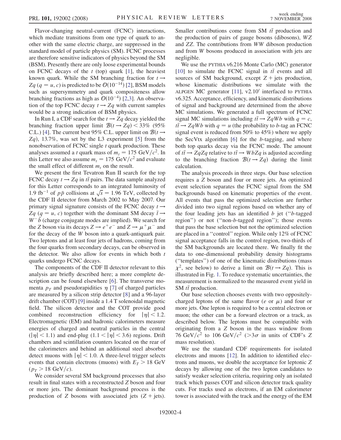Flavor-changing neutral-current (FCNC) interactions, which mediate transitions from one type of quark to another with the same electric charge, are suppressed in the standard model of particle physics (SM). FCNC processes are therefore sensitive indicators of physics beyond the SM (BSM). Presently there are only loose experimental bounds on FCNC decays of the  $t$  (top) quark [1], the heaviest known quark. While the SM branching fraction for  $t \rightarrow$ Zq (q = u, c) is predicted to be  $\mathcal{O}(10^{-14})$  [2], BSM models such as supersymmetry and quark compositeness allow branching fractions as high as  $\mathcal{O}(10^{-4})$  [2,3]. An observation of the top FCNC decay  $t \rightarrow Zq$  with current samples would be a strong indication of BSM physics.

In Run I, a CDF search for the  $t \rightarrow Zq$  decay yielded the branching fraction upper limit  $B(t \rightarrow Zq)$  < 33% (95%) C.L.) [4]. The current best 95% C.L. upper limit on  $B(t \rightarrow$  $Zq$ ), 13.7%, was set by the L3 experiment [5] from the nonobservation of FCNC single  $t$  quark production. These analyses assumed a t quark mass of  $m_t = 175 \text{ GeV}/c^2$ . In this Letter we also assume  $m_t = 175 \text{ GeV}/c^2$  and evaluate the small effect of different  $m_t$  on the result.

We present the first Tevatron Run II search for the top FCNC decay  $t \rightarrow Zq$  in  $t\bar{t}$  pairs. The data sample analyzed for this Letter corresponds to an integrated luminosity of 1.9 fb<sup>-1</sup> of  $p\bar{p}$  collisions at  $\sqrt{s}$  = 1.96 TeV, collected by the CDF II detector from March 2002 to May 2007. Our primary signal signature consists of the FCNC decay  $t \rightarrow$ Zq ( $q = u$ , c) together with the dominant SM decay  $\bar{t} \rightarrow$  $W^-b$  (charge conjugate modes are implied). We search for the Z boson via its decays  $Z \rightarrow e^+e^-$  and  $Z \rightarrow \mu^+\mu^-$  and for the decay of the W boson into a quark-antiquark pair. Two leptons and at least four jets of hadrons, coming from the four quarks from secondary decays, can be observed in the detector. We also allow for events in which both  $t$ quarks undergo FCNC decays.

The components of the CDF II detector relevant to this analysis are briefly described here; a more complete description can be found elsewhere [6]. The transverse momenta  $p_T$  and pseudorapidities  $\eta$  [7] of charged particles are measured by a silicon strip detector [8] and a 96-layer drift chamber (COT) [9] inside a 1.4 T solenoidal magnetic field. The silicon detector and the COT provide good combined reconstruction efficiency for  $|\eta|$  < 1.2. Electromagnetic (EM) and hadronic calorimeters measure energies of charged and neutral particles in the central  $(|\eta| < 1.1)$  and end-plug  $(1.1 < |\eta| < 3.6)$  regions. Drift chambers and scintillation counters located on the rear of the calorimeters and behind an additional steel absorber detect muons with  $|\eta|$  < 1.0. A three-level trigger selects events that contain electrons (muons) with  $E_T > 18$  GeV  $(p_T > 18 \text{ GeV}/c)$ .

We consider several SM background processes that also result in final states with a reconstructed Z boson and four or more jets. The dominant background process is the production of Z bosons with associated jets  $(Z + jets)$ .

Smaller contributions come from SM  $t\bar{t}$  production and the production of pairs of gauge bosons (dibosons), WZ and ZZ. The contributions from WW diboson production and from W bosons produced in association with jets are negligible.

We use the PYTHIA v6.216 Monte Carlo (MC) generator [10] to simulate the FCNC signal in  $t\bar{t}$  events and all sources of SM background, except  $Z +$  jets production, whose kinematic distributions we simulate with the ALPGEN MC generator  $[11]$ , v2.10' interfaced to PYTHIA v6.325. Acceptance, efficiency, and kinematic distributions of signal and background are determined from the above MC simulations. We generated a full spectrum of FCNC signal MC simulations including  $t\bar{t} \rightarrow ZqWb$  with  $q = c$ ,  $t\bar{t} \rightarrow ZqWb$  with  $q = u$  (the probability to b-tag an FCNC signal event is reduced from 50% to 45%) where we apply the SecVtx algorithm [6] for the b-tagging, and where both top quarks decay via the FCNC mode. The amount of  $t\bar{t} \rightarrow ZqZq$  relative to  $t\bar{t} \rightarrow WbZq$  is adjusted according to the branching fraction  $\mathcal{B}(t \to Zq)$  during the limit calculation.

The analysis proceeds in three steps. Our base selection requires a Z boson and four or more jets. An optimized event selection separates the FCNC signal from the SM backgrounds based on kinematic properties of the event. All events that pass the optimized selection are further divided into two signal regions based on whether any of the four leading jets has an identified  $b$  jet (" $b$ -tagged region'') or not (''non-b-tagged region''); those events that pass the base selection but not the optimized selection are placed in a ''control'' region. While only 12% of FCNC signal acceptance falls in the control region, two-thirds of the SM backgrounds are located there. We finally fit the data to one-dimensional probability density histograms (''templates'') of one of the kinematic distributions (mass  $\chi^2$ , see below) to derive a limit on  $\mathcal{B}(t \to Zq)$ . This is illustrated in Fig. [1.](#page-4-0) To reduce systematic uncertainties, the measurement is normalized to the measured event yield in SM  $t\bar{t}$  production.

Our base selection chooses events with two oppositelycharged leptons of the same flavor (e or  $\mu$ ) and four or more jets. One lepton is required to be a central electron or muon; the other can be a forward electron or a track, as described below. The leptons must be compatible with originating from a Z boson in the mass window from 76 GeV/ $c^2$  to 106 GeV/ $c^2$  (>3 $\sigma$  in units of CDF's Z mass resolution).

We use the standard CDF requirements for isolated electrons and muons [12]. In addition to identified electrons and muons, we double the acceptance for leptonic Z decays by allowing one of the two lepton candidates to satisfy weaker selection criteria, requiring only an isolated track which passes COT and silicon detector track quality cuts. For tracks used as electrons, if an EM calorimeter tower is associated with the track and the energy of the EM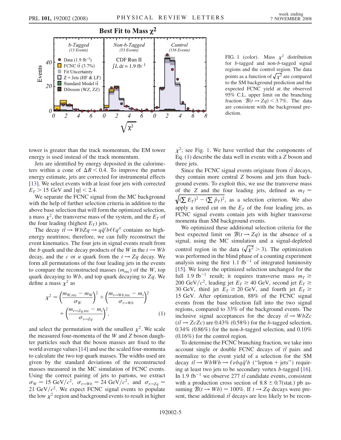<span id="page-4-0"></span>

FIG. 1 (color). Mass  $\chi^2$  distribution for b-tagged and non-b-tagged signal regions and the control region. The data points as a function of  $\sqrt{\chi^2}$  are compared to the SM background prediction and the expected FCNC yield at the observed 95% C.L. upper limit on the branching fraction  $\mathcal{B}(t \rightarrow Zq)$  < 3.7%. The data are consistent with the background prediction.

tower is greater than the track momentum, the EM tower energy is used instead of the track momentum.

Jets are identified by energy deposited in the calorimeters within a cone of  $\Delta R < 0.4$ . To improve the parton energy estimate, jets are corrected for instrumental effects [13]. We select events with at least four jets with corrected  $E_T > 15$  GeV and  $|\eta| < 2.4$ .

We separate the FCNC signal from the MC background with the help of further selection criteria in addition to the above base selection that will form the optimized selection, a mass  $\chi^2$ , the transverse mass of the system, and the  $E_T$  of the four leading (highest  $E_T$ ) jets.

The decay  $t\bar{t} \to WbZq \to q\bar{q}'b\ell\ell q''$  contains no highenergy neutrinos; therefore, we can fully reconstruct the event kinematics. The four jets in signal events result from the b quark and the decay products of the W in the  $t \rightarrow Wb$ decay, and the c or u quark from the  $t \rightarrow Zq$  decay. We form all permutations of the four leading jets in the events to compare the reconstructed masses  $(m_{\text{rec}})$  of the W, top quark decaying to  $Wb$ , and top quark decaying to  $Zq$ . We define a mass  $\chi^2$  as

<span id="page-4-1"></span>
$$
\chi^2 = \left(\frac{m_{W, \text{rec}} - m_W}{\sigma_W}\right)^2 + \left(\frac{m_{t \to Wb, \text{rec}} - m_t}{\sigma_{t \to Wb}}\right)^2 + \left(\frac{m_{t \to Zq, \text{rec}} - m_t}{\sigma_{t \to Zq}}\right)^2, \tag{1}
$$

and select the permutation with the smallest  $\chi^2$ . We scale the measured four-momenta of the W and Z boson daughter particles such that the boson masses are fixed to the world average values [14] and use the scaled four-momenta to calculate the two top quark masses. The widths used are given by the standard deviations of the reconstructed masses measured in the MC simulation of FCNC events. Using the correct pairing of jets to partons, we extract  $\sigma_W = 15 \text{ GeV}/c^2$ ,  $\sigma_{t\rightarrow Wb} = 24 \text{ GeV}/c^2$ , and  $\sigma_{t\rightarrow Zq} =$ 21 GeV/ $c^2$ . We expect FCNC signal events to populate the low  $\chi^2$  region and background events to result in higher  $\chi^2$ ; see Fig. 1. We have verified that the components of Eq. [\(1](#page-4-1)) describe the data well in events with a Z boson and three jets.

Since the FCNC signal events originate from  $t\bar{t}$  decays, they contain more central Z bosons and jets than background events. To exploit this, we use the transverse mass of the Z and the four leading jets, defined as  $m<sub>T</sub>$  =  $\sqrt{(\sum E_T)^2 - (\sum \vec{p}_T)^2}$ , as a selection criterion. We also apply a tiered cut on the  $E_T$  of the four leading jets, as FCNC signal events contain jets with higher transverse momenta than SM background events.

We optimized these additional selection criteria for the best expected limit on  $\mathcal{B}(t \rightarrow Zq)$  in the absence of a signal, using the MC simulation and a signal-depleted control region in the data ( $\sqrt{\chi^2} > 3$ ). The optimization was performed in the blind phase of a counting experiment analysis using the first 1.1 fb<sup>-1</sup> of integrated luminosity [15]. We leave the optimized selection unchanged for the full 1.9 fb<sup>-1</sup> result; it requires transverse mass  $m<sub>T</sub> \ge$ 200 GeV/ $c^2$ , leading jet  $E_T \ge 40$  GeV, second jet  $E_T \ge$ 30 GeV, third jet  $E_T \ge 20$  GeV, and fourth jet  $E_T \ge$ 15 GeV. After optimization, 88% of the FCNC signal events from the base selection fall into the two signal regions, compared to 33% of the background events. The inclusive signal acceptances for the decay  $t\bar{t} \rightarrow WbZc$  $(t\bar{t} \rightarrow ZcZc)$  are 0.43% (0.58%) for the *b*-tagged selection,  $0.34\%$  (0.86%) for the non-b-tagged selection, and  $0.10\%$ (0.16%) for the control region.

To determine the FCNC branching fraction, we take into account single or double FCNC decays of  $t\bar{t}$  pairs and normalize to the event yield of a selection for the SM decay  $t\bar{t} \to WbWb \to \ell \nu bq\bar{q}'b$  ("lepton + jets") requiring at least two jets to be secondary vertex b-tagged [16]. In 1.9 fb<sup>-1</sup> we observe 277  $t\bar{t}$  candidate events, consistent with a production cross section of  $8.8 \pm 0.7$ (stat.) pb assuming  $\mathcal{B}(t \to Wb) = 100\%$ . If  $t \to Zq$  decays were present, these additional  $t\bar{t}$  decays are less likely to be recon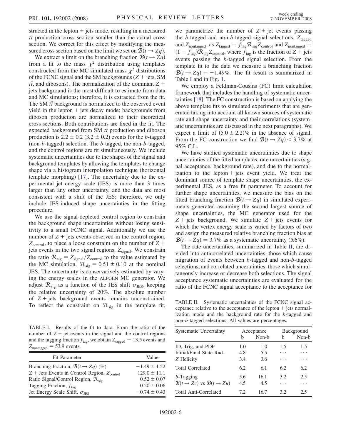structed in the lepton  $+$  jets mode, resulting in a measured  $t\bar{t}$  production cross section smaller than the actual cross section. We correct for this effect by modifying the measured cross section based on the limit we set on  $\mathcal{B}(t \to Zq)$ .

We extract a limit on the branching fraction  $\mathcal{B}(t \to Zq)$ from a fit to the mass  $\chi^2$  distribution using templates constructed from the MC simulated mass  $\chi^2$  distributions of the FCNC signal and the SM backgrounds  $(Z + \text{jets}, SM)$  $t\bar{t}$ , and dibosons). The normalization of the dominant Z + jets background is the most difficult to estimate from data and MC simulations; therefore, it is extracted from the fit. The SM  $t\bar{t}$  background is normalized to the observed event yield in the lepton  $+$  jets decay mode; backgrounds from diboson production are normalized to their theoretical cross sections. Both contributions are fixed in the fit. The expected background from SM  $t\bar{t}$  production and diboson production is 2.2  $\pm$  0.2 (3.2  $\pm$  0.2) events for the *b*-tagged (non-b-tagged) selection. The b-tagged, the non-b-tagged, and the control regions are fit simultaneously. We include systematic uncertainties due to the shapes of the signal and background templates by allowing the templates to change shape via a histogram interpolation technique (horizontal template morphing) [17]. The uncertainty due to the experimental jet energy scale (JES) is more than 3 times larger than any other uncertainty, and the data are most consistent with a shift of the JES; therefore, we only include JES-induced shape uncertainties in the fitting procedure.

We use the signal-depleted control region to constrain the background shape uncertainties without losing sensitivity to a small FCNC signal. Additionally we use the number of  $Z +$  jets events observed in the control region,  $Z_{control}$ , to place a loose constraint on the number of Z + jets events in the two signal regions,  $Z_{signal}$ . We constrain the ratio  $R_{sig} = Z_{signal}/Z_{control}$  to the value estimated by the MC simulation,  $R_{\text{sig}} = 0.51 \pm 0.10$  at the nominal JES. The uncertainty is conservatively estimated by varying the energy scales in the ALPGEN MC generator. We adjust  $\mathcal{R}_{\text{sig}}$  as a function of the JES shift  $\sigma_{\text{JES}}$ , keeping the relative uncertainty of 20%. The absolute number of  $Z$  + jets background events remains unconstrained. To reflect the constraint on  $\mathcal{R}_{\text{sig}}$  in the template fit,

TABLE I. Results of the fit to data. From the ratio of the number of  $Z + jet$  events in the signal and the control regions and the tagging fraction  $f_{\text{tag}}$ , we obtain  $Z_{\text{tagged}} = 13.5$  events and  $Z_{\text{nontaged}} = 53.9$  events.

| <b>Fit Parameter</b>                                    | Value            |
|---------------------------------------------------------|------------------|
| Branching Fraction, $\mathcal{B}(t \rightarrow Zq)$ (%) | $-1.49 \pm 1.52$ |
| $Z$ + Jets Events in Control Region, $Z_{control}$      | $129.0 \pm 11.1$ |
| Ratio Signal/Control Region, $\mathcal{R}_{\text{sig}}$ | $0.52 \pm 0.07$  |
| Tagging Fraction, $f_{\text{tag}}$                      | $0.20 \pm 0.06$  |
| Jet Energy Scale Shift, $\sigma_{\text{IES}}$           | $-0.74 \pm 0.43$ |

we parametrize the number of  $Z + jet$  events passing the b-tagged and non-b-tagged signal selections,  $Z_{\text{tagged}}$ and  $Z_{\text{nontagged}}$ , as  $Z_{\text{tagged}} = f_{\text{tag}} \mathcal{R}_{\text{sig}} Z_{\text{control}}$  and  $Z_{\text{nontagged}} =$  $(1 - f_{\text{tag}})\mathcal{R}_{\text{sig}}Z_{\text{control}}$ , where  $f_{\text{tag}}$  is the fraction of  $Z + \text{jets}$ events passing the b-tagged signal selection. From the template fit to the data we measure a branching fraction  $\mathcal{B}(t \rightarrow Zq) = -1.49\%$ . The fit result is summarized in Table I and in Fig. [1.](#page-4-0)

We employ a Feldman-Cousins (FC) limit calculation framework that includes the handling of systematic uncertainties [18]. The FC construction is based on applying the above template fits to simulated experiments that are generated taking into account all known sources of systematic rate and shape uncertainty and their correlations (systematic uncertainties are discussed in the next paragraphs). We expect a limit of  $(5.0 \pm 2.2)\%$  in the absence of signal. From the FC construction we find  $\mathcal{B}(t \rightarrow Zq) < 3.7\%$  at 95% C.L.

We have studied systematic uncertainties due to shape uncertainties of the fitted templates, rate uncertainties (signal acceptance, background rate), and due to the normalization to the lepton  $+$  jets event yield. We treat the dominant source of template shape uncertainties, the experimental JES, as a free fit parameter. To account for further shape uncertainties, we measure the bias on the fitted branching fraction  $\mathcal{B}(t \to Zq)$  in simulated experiments generated assuming the second largest source of shape uncertainties, the MC generator used for the  $Z + \text{jets}$  background. We simulate  $Z + \text{jets}$  events for which the vertex energy scale is varied by factors of two and assign the measured relative branching fraction bias at  $\mathcal{B}(t \rightarrow Zq) = 3.7\%$  as a systematic uncertainty (5.6%).

The rate uncertainties, summarized in Table II, are divided into anticorrelated uncertainties, those which cause migration of events between b-tagged and non-b-tagged selections, and correlated uncertainties, those which simultaneously increase or decrease both selections. The signal acceptance systematic uncertainties are evaluated for the ratio of the FCNC signal acceptance to the acceptance for

TABLE II. Systematic uncertainties of the FCNC signal acceptance relative to the acceptance of the lepton  $+$  jets normalization mode and the background rate for the b-tagged and non-b-tagged selections. All values are percentages.

| <b>Systematic Uncertainty</b>                      | Acceptance |       | <b>Background</b> |       |
|----------------------------------------------------|------------|-------|-------------------|-------|
|                                                    | b          | Non-b | h                 | Non-b |
| ID, Trig, and PDF                                  | 1.0        | 1.0   | 1.5               | 1.5   |
| Initial/Final State Rad.                           | 4.8        | 5.5   | .                 | .     |
| Z Helicity                                         | 3.4        | 3.6   | .                 | .     |
| <b>Total Correlated</b>                            | 6.2        | 6.1   | 6.2               | 6.2   |
| $b$ -Tagging                                       | 5.6        | 16.1  | 3.2               | 2.5   |
| $\mathcal{B}(t \to Zc)$ vs $\mathcal{B}(t \to Zu)$ | 4.5        | 4.5   | .                 |       |
| Total Anti-Correlated                              | 7.2.       | 16.7  | 3.2               | 2.5   |